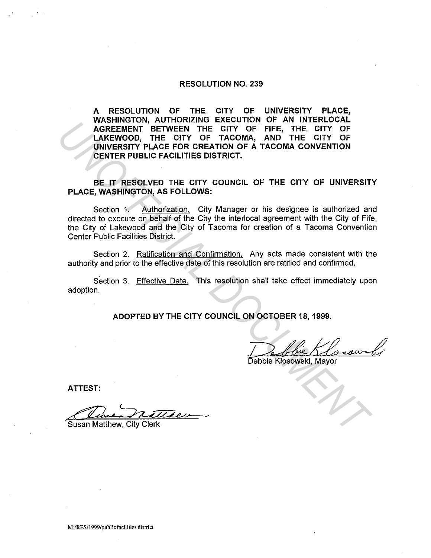#### RESOLUTION NO. 239

A RESOLUTION OF THE CITY OF UNIVERSITY PLACE, WASHINGTON, AUTHORIZING EXECUTION OF AN INTERLOCAL AGREEMENT BETWEEN THE CITY OF FIFE, THE CITY OF LAKEWOOD, THE CITY OF TACOMA, AND THE CITY OF UNIVERSITY PLACE FOR CREATION OF A TACOMA CONVENTION CENTER PUBLIC FACILITIES DISTRICT.

BE IT RESOLVED THE CITY COUNCIL OF THE CITY OF UNIVERSITY PLACE, WASHINGTON, AS FOLLOWS:

Section 1. Authorization. City Manager or his designee is authorized and directed to execute on behalf of the City the interlocal agreement with the City of Fife, the City of Lakewood and the City of Tacoma for creation of a Tacoma Convention Center Public Facilities District. **EXAMPLE DRIVERS THE CITY OF FIFE, THE CITY OF LAKEWOOD, THE CITY OF LAKEWOOD, THE CITY OF LAKEWOOD, THE CITY OF THE CITY OF LOWERSITY PLACE FOR CREATION OF A TACOMA CONVENTION<br>CENTER PUBLIC FACILITIES DISTRICT.<br>BE IT RESO** 

Section 2. Ratification and Confirmation. Any acts made consistent with the authority and prior to the effective date of this resolution are ratified and confirmed.

Section 3. Effective Date. This resolution shall take effect immediately upon adoption.

ADOPTED BY THE CITY COUNCIL ON OCTOBER 18, 1999.

N OCTOBER 18, 1999.<br>Debbie Klosowski, Mayor

ATTEST:

Susan Matthew, City Clerk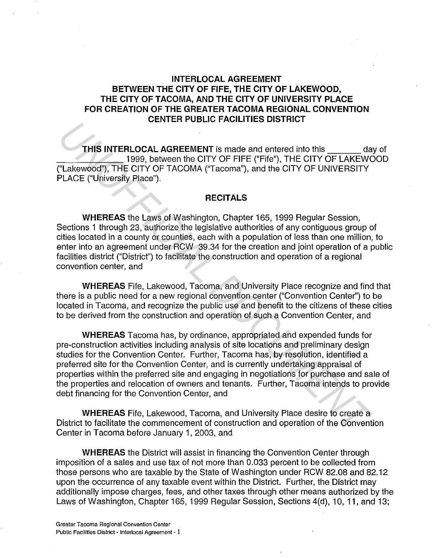# **INTERLOCAL AGREEMENT BETWEEN THE CITY OF FIFE, THE CITY OF LAKEWOOD, THE CITY OF TACOMA, AND THE CITY OF UNIVERSITY PLACE FOR CREATION OF THE GREATER TACOMA REGIONAL CONVENTION CENTER PUBLIC FACILITIES DISTRICT**

**THIS INTERLOCAL AGREEMENT** is made and entered into this day of 1999, between the CITY OF FIFE ("Fife"), THE CITY OF LAKEWOOD ("Lakewood"), THE CITY OF TACOMA ("Tacoma"), and the CITY OF UNIVERSITY PLACE ("University Place").

#### **RECITALS**

**WHEREAS** the Laws of Washington, Chapter 165, 1999 Regular Session, Sections 1 through 23, authorize the legislative authorities of any contiguous group of cities located in a county or counties, each with a population of less than one million, to enter into an agreement under RCW 39.34 for the creation and joint operation of a public facilities district ("District") to facilitate the construction and operation of a regional convention center, and

**WHEREAS** Fife, Lakewood, Tacoma, and University Place recognize and find that there is a public need for a new regional convention center ("Convention Center'') to be located in Tacoma, and recognize the public use and benefit to the citizens of these cities to be derived from the construction and operation of such a Convention Center, and

**WHEREAS** Tacoma has, by ordinance, appropriated and expended funds for pre-construction activities including analysis of site locations and preliminary design studies for the Convention Center. Further, Tacoma has, by resolution, identified a preferred site for the Convention Center, and is currently undertaking appraisal of properties within the preferred site and engaging in negotiations for purchase and sale of the properties ahd relocation of owners and tenants. Further, Tacoma intends to provide debt financing for the Convention Center, and THIS INTERLOCAL AGREEMENT is made and entered into this date<br>
<sup>1</sup>United United States and entered into this default and the CITY OF THE CITY OF ICTY OF THE CITY OF LAKEWORT<br>
<sup>1</sup>United CITY OF TACOMA ("Tacoma"), and the CIT

**WHEREAS** Fife, Lakewood, Tacoma, and University Place desire to create a District to facilitate the commencement of construction and operation of the Convention Center in Tacoma before January 1, 2003, and

**WHEREAS** the District will assist in financing the Convention Center through imposition of a sales and use tax of not more than 0.033 percent to be collected from those persons who are taxable by the State of Washington under RCW 82.08 and 82.12 upon the occurrence of any taxable event within the District. Further, the District may additionally impose charges, fees, and other taxes through other means authorized by the Laws of Washington, Chapter 165, 1999 Regular Session, Sections 4(d), 10, 11, and 13;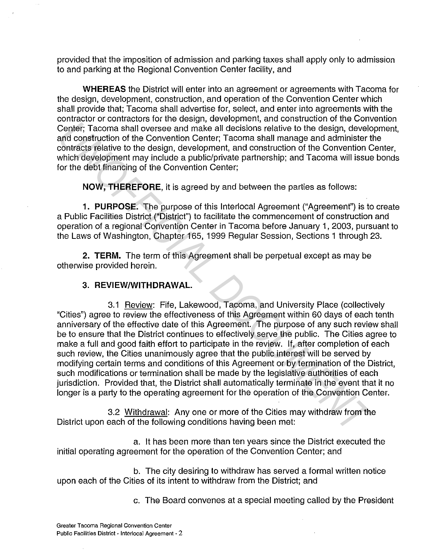provided that the imposition of admission and parking taxes shall apply only to admission to and parking at the Regional Convention Center facility, and

**WHEREAS** the District will enter into an agreement or agreements with Tacoma for the design, development, construction, and operation of the Convention Center which shall provide that; Tacoma shall advertise for, select, and enter into agreements with the contractor or contractors for the design, development, and construction of the Convention Center; Tacoma shall oversee and make all decisions relative to the design, development, and construction of the Convention Center; Tacoma shall manage and administer the contracts relative to the design, development, and construction of the Convention Center, which development may include a public/private partnership; and Tacoma will issue bonds for the debt financing of the Convention Center;

**NOW, THEREFORE,** it is agreed by and between the parties as follows:

**1. PURPOSE.** The purpose of this lnterlocal Agreement ("Agreement") is to create a Public Facilities District ("District") to facilitate the commencement of construction and operation of a regional Convention Center in Tacoma before January 1, 2003, pursuant to the Laws of Washington, Chapter 165, 1999 Regular Session, Sections 1 through 23.

2. **TERM.** The term of this Agreement shall be perpetual except as may be otherwise provided herein.

# 3. **REVIEW/WITHDRAWAL.**

3.1 Review: Fife, Lakewood, Tacoma, and University Place (collectively "Cities") agree to review the effectiveness of this Agreement within 60 days of each tenth anniversary of the effective date of this Agreement. The purpose of any such review shall be to ensure that the District continues to effectively serve the public. The Cities agree to make a full and good faith effort to participate in the review. If, after completion of each such review, the Cities unanimously agree that the public interest will be served by modifying certain terms and conditions of this Agreement or by termination of the District, such modifications or termination shall be made by the legislative authorities of each jurisdiction. Provided that, the District shall automatically terminate in the event that it no longer is a party to the operating agreement for the operation of the Convention Center. Contact Tracoma shall oversee and make all decisions relative to the design, development<br>Conter, Tacoma shall oversee and make all decisions relative to the design, development<br>contracts relative to the Convention Center;

3.2 Withdrawal: Any one or more of the Cities may withdraw from the District upon each of the following conditions having been met:

a. It has been more than ten years since the District executed the initial operating agreement for the operation of the Convention Center; and

b. The city desiring to withdraw has served a formal written notice upon each of the Cities of its intent to withdraw from the District; and

c. The Board convenes at a special meeting called by the President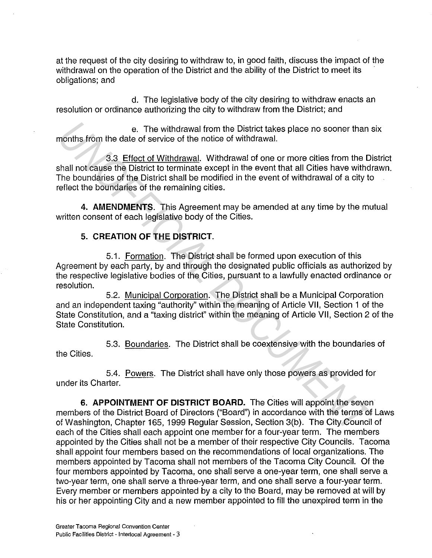at the request of the city desiring to withdraw to, in good faith, discuss the impact of the withdrawal on the operation of the District and the ability of the District to meet its obligations; and

d. The legislative body of the city desiring to withdraw enacts an resolution or ordinance authorizing the city to withdraw from the District; and

e. The withdrawal from the District takes place no sooner than six months from the date of service of the notice of withdrawal.

3.3 Effect of Withdrawal. Withdrawal of one or more cities from the District shall not cause the District to terminate except in the event that all Cities have withdrawn. The boundaries of the District shall be modified in the event of withdrawal of a city to reflect the boundaries of the remaining cities. **EXECUTE ASSEMBLE THE CONSULTERT SET ASSEMBLE THE CONDUCT THE CREAD THE CONDUCTS CONDUCT AND THE DETECT OF WEIGHT AND THE DETECT AND THE DETECT IN A MENDENTS. This Agreement the event that all Cities have withding the Dist** 

4. **AMENDMENTS.** This Agreement may be amended at any time by the mutual written consent of each legislative body of the Cities.

# 5. **CREATION OF THE DISTRICT.**

5.1. Formation. The District shall be formed upon execution of this Agreement by each party, by and through the designated public officials as authorized by the respective legislative bodies of the Cities, pursuant to a lawfully enacted ordinance or resolution.

5.2. Municipal Corporation. The District shall be a Municipal Corporation and an independent taxing "authority" within the meaning of Article VII, Section 1 of the State Constitution, and a "taxing district" within the meaning of Article VII, Section 2 of the State Constitution.

5.3. Boundaries. The District shall be coextensive with the boundaries of the Cities.

5.4. Powers. The District shall have only those powers as provided for under its Charter.

**6. APPOINTMENT OF DISTRICT BOARD.** The Cities will appoint the seven members of the District Board of Directors ("Board") in accordance with the terms of Laws of Washington, Chapter 165, 1999 Regular Session, Section 3(b). The City Council of each of the Cities shall each appoint one member for a four-year term. The members appointed by the Cities shall not be a member of their respective City Councils. Tacoma shall appoint four members based on the recommendations of local organizations. The members appointed by Tacoma shall not members of the Tacoma City Council. Of the four members appointed by Tacoma, one shall serve a one-year term, one shall serve a two-year term, one shall serve a three-year term, and one shall serve a four-year term. Every member or members appointed by a city to the Board, may be removed at will by his or her appointing City and a new member appointed to fill the unexpired term in the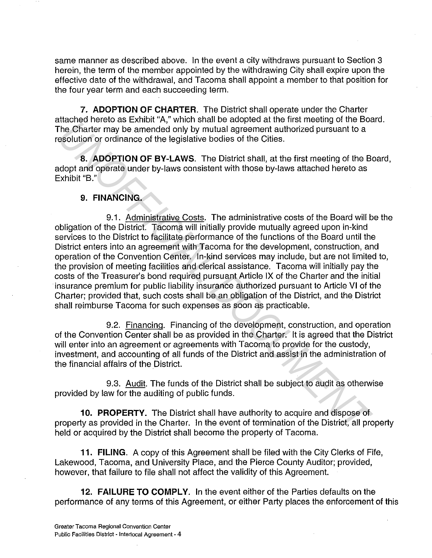same manner as described above. In the event a city withdraws pursuant to Section 3 herein, the term of the member appointed by the withdrawing City shall expire upon the effective date of the withdrawal, and Tacoma shall appoint a member to that position for the four year term and each succeeding term.

7. **ADOPTION OF CHARTER.** The District shall operate under the Charter attached hereto as Exhibit "A," which shall be adopted at the first meeting of the Board. The Charter may be amended only by mutual agreement authorized pursuant to a resolution or ordinance of the legislative bodies of the Cities.

**8. ADOPTION OF BY-LAWS.** The District shall, at the first meeting of the Board, adopt and operate under by-laws consistent with those by-laws attached hereto as Exhibit "B."

# **9. FINANCING.**

9.1. Administrative Costs. The administrative costs of the Board will be the obligation of the District. Tacoma will initially provide mutually agreed upon in-kind services to the District to facilitate performance of the functions of the Board until the District enters into an agreement with Tacoma for the development, construction, and operation of the Convention Center. In-kind services may include, but are not limited to, the provision of meeting facilities and clerical assistance. Tacoma will initially pay the costs of the Treasurer's bond required pursuant Article IX of the Charter and the initial insurance premium for public liability insurance authorized pursuant to Article VI of the Charter; provided that, such costs shall be an obligation of the District, and the District shall reimburse Tacoma for such expenses as soon as practicable. Internet as example. The small of the District and the mission of the District and the District and the District and the District and the District of the District of the District State and Operation of ordinance of the leg

9.2. Financing. Financing of the development, construction, and operation of the Convention Center shall be as provided in the Charter. It is agreed that the District will enter into an agreement or agreements with Tacoma to provide for the custody, investment, and accounting of all funds of the District and assist in the administration of the financial affairs of the District.

9.3. Audit. The funds of the District shall be subject to audit as otherwise provided by law for the auditing of public funds.

**10. PROPERTY.** The District shall have authority to acquire and dispose of property as provided in the Charter. In the event of termination of the District, all property held or acquired by the District shall become the property of Tacoma.

**11. FILING.** A copy of this Agreement shall be filed with the City Clerks of Fife, Lakewood, Tacoma, and University Place, and the Pierce County Auditor; provided, however, that failure to file shall not affect the validity of this Agreement.

**12. FAILURE TO COMPLY.** In the event either of the Parties defaults on the performance of any terms of this Agreement, or either Party places the enforcement of this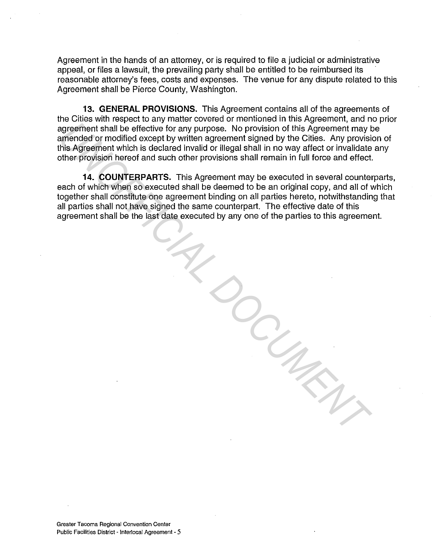Agreement in the hands of an attorney, or is required to file a judicial or administrative appeal, or files a lawsuit, the prevailing party shall be entitled to be reimbursed its reasonable attorney's fees, costs and expenses. The venue for any dispute related to this Agreement shall be Pierce County, Washington.

13. **GENERAL PROVISIONS.** This Agreement contains all of the agreements of the Cities with respect to any matter covered or mentioned in this Agreement, and no prior agreement shall be effective for any purpose. No provision of this Agreement may be amended or modified except by written agreement signed by the Cities. Any provision of this Agreement which is declared invalid or illegal shall in no way affect or invalidate any other provision hereof and such other provisions shall remain in full force and effect.

**14. COUNTERPARTS.** This Agreement may be executed in several counterparts, each of which when so executed shall be deemed to be an original copy, and all of which together shall constitute one agreement binding on all parties hereto, notwithstanding that all parties shall not have signed the same counterpart. The effective date of this agreement shall be the last date executed by any one of the parties to this agreement. represents that the discrete that we have a structure when the approach that all be effective for any purpose. No provision of this Agreement may the provision of this Agreement angle of modified except by written agreemen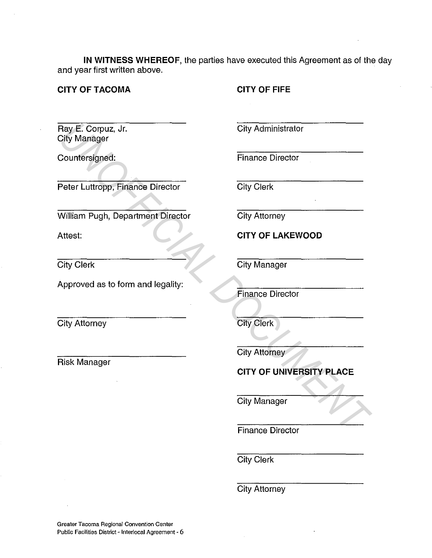**IN WITNESS WHEREOF,** the parties have executed this Agreement as of the day and year first written above.

## **CITY OF TACOMA**

**CITY OF FIFE** 

Ray E. Corpuz, Jr. City Manager **Example 2018**<br> **Example 2018**<br> **Example 2018**<br> **Peter Luttropp, Finance Director**<br> **Peter Luttropp, Finance Director**<br> **UNIFICIAL City Clerk**<br> **UNIFICIAL City Attorney<br>
City Attorney<br>
City Attorney<br>
City Attorney<br>
<br>
City** 

Countersigned:

Peter Luttropp, Finance Director

William Pugh, Department Director

Attest:

**City Clerk** 

Approved as to form and legality:

**City Attorney** 

Risk Manager

City Administrator

Finance Director

**City Clerk** 

**City Attorney** 

**CITY OF LAKEWOOD** 

**City Manager** 

Finance Director

City Clerk

**City Attorney** 

**CITY OF UNIVERSITY PLACE** 

**City Manager** 

Finance Director

**City Clerk** 

**City Attorney**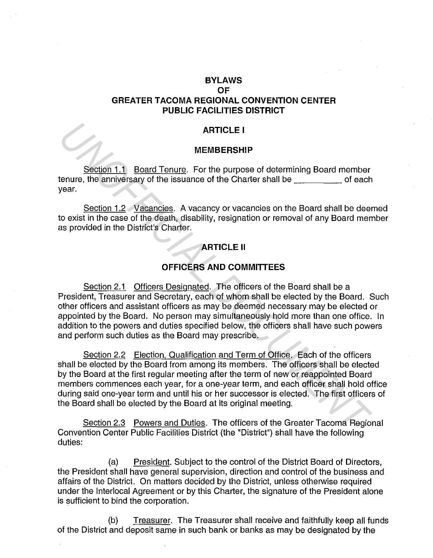#### **BYLAWS OF**

# **GREATER TACOMA REGIONAL CONVENTION CENTER PUBLIC FACILITIES DISTRICT**

#### **ARTICLE I**

#### **MEMBERSHIP**

Section 1.1 Board Tenure. For the purpose of determining Board member tenure, the anniversary of the issuance of the Charter shall be  $\mu$  and  $\mu$  of each year.

Section 1.2 Vacancies. A vacancy or vacancies on the Board shall be deemed to exist in the case of the death, disability, resignation or removal of any Board member as provided in the District's Charter.

## **ARTICLE II**

# **OFFICERS AND COMMITTEES**

Section 2.1 Officers Designated. The officers of the Board shall be a President, Treasurer and Secretary, each of whom shall be elected by the Board. Such other officers and assistant officers as may be deemed necessary may be elected or appointed by the Board. No person may simultaneously hold more than one office. In addition to the powers and duties specified below, the officers shall have such powers and perform such duties as the Board may prescribe. **INTICLE I**<br> **IMENDERSHIP**<br> **INTERNATE INTERNATE SERVE AND CONDUCT THE CONDITION CONDITION CONDITIONATE SERVENT CONDUCT TO EXAMPLE SERVENT OF THE CONDUCT SERVENT OF THE CONDUCT OF THE CONDUCT OF THE CONDUCT OF THE SERVENT** 

Section 2.2 Election, Qualification and Term of Office. Each of the officers shall be elected by the Board from among its members. The officers shall be elected by the Board at the first regular meeting after the term of new or reappointed Board members commences each year, for a one-year term, and each officer shall hold office during said one-year term and until his or her successor is elected. The first officers of the Board shall be elected by the Board at its original meeting.

Section 2.3 Powers and Duties. The officers of the Greater Tacoma Regional Convention Center Public Facilities District (the "District") shall have the following duties:

(a) President. Subject to the control of the District Board of Directors, the President shall have general supervision, direction and control of the business and affairs of the District. On matters decided by the District, unless otherwise required under the lnterlocal Agreement or by this Charter, the signature of the President alone is sufficient to bind the corporation.

(b) Treasurer. The Treasurer shall receive and faithfully keep all funds of the District and deposit same in such bank or banks as may be designated by the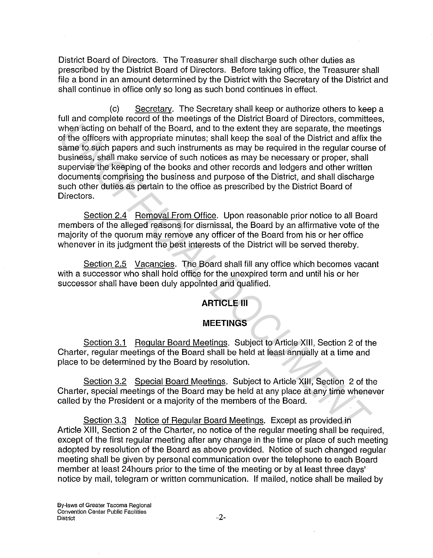District Board of Directors. The Treasurer shall discharge such other duties as prescribed by the District Board of Directors. Before taking office, the Treasurer shall file a bond in an amount determined by the District with the Secretary of the District and shall continue in office only so long as such bond continues in effect.

(c) Secretary. The Secretary shall keep or authorize others to keep a full and complete record of the meetings of the District Board of Directors, committees, when acting on behalf of the Board, and to the extent they are separate, the meetings of the officers with appropriate minutes; shall keep the seal of the District and affix the same to such papers and such instruments as may be required in the regular course of business, shall make service of such notices as may be necessary or proper, shall supervise the keeping of the books and other records and ledgers and other written documents comprising the business and purpose of the District, and shall discharge such other duties as pertain to the office as prescribed by the District Board of Directors. **Example 10** the Board, and to the extent they are separate, the meetition of the Siders with appropriate minutes; shall keep the seal of the District and affix the meetitof and the different with appropriate minutes; shal

Section 2.4 Removal From Office. Upon reasonable prior notice to all Board members of the alleged reasons for dismissal, the Board by an affirmative vote of the majority of the quorum may remove any officer of the Board from his or her office whenever in its judgment the best interests of the District will be served thereby.

Section 2.5 Vacancies. The Board shall fill any office which becomes vacant with a successor who shall hold office for the unexpired term and until his or her successor shall have been duly appointed and qualified.

# **ARTICLE Ill**

# **MEETINGS**

Section 3.1 Regular Board Meetings. Subject to Article XIII, Section 2 of the Charter, regular meetings of the Board shall be held at least annually at a time and place to be determined by the Board by resolution.

Section 3.2 Special Board Meetings. Subject to Article XIII, Section 2 of the Charter, special meetings of the Board may be held at any place at any time whenever called by the President or a majority of the members of the Board.

Section 3.3 Notice of Regular Board Meetings. Except as provided in Article XIII, Section 2 of the Charter, no notice of the regular meeting shall be required, except of the first regular meeting after any change in the time or place of such meeting adopted by resolution of the Board as above provided. Notice of such changed regular meeting shall be given by personal communication over the telephone to each Board member at least 24hours prior to the time of the meeting or by at least three days' notice by mail, telegram or written communication. If mailed, notice shall be mailed by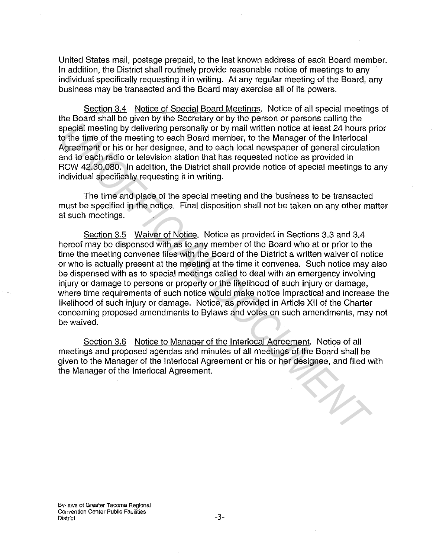United States mail, postage prepaid, to the last known address of each Board member. In addition, the District shall routinely provide reasonable notice of meetings to any individual specifically requesting it in writing. At any regular meeting of the Board, any business may be transacted and the Board may exercise all of its powers.

Section 3.4 Notice of Special Board Meetings. Notice of all special meetings of the Board shall be given by the Secretary or by the person or persons calling the special meeting by delivering personally or by mail written notice at least 24 hours prior to the time of the meeting to each Board member, to the Manager of the lnterlocal Agreement or his or her designee, and to each local newspaper of general circulation and to each radio or television station that has requested notice as provided in RCW 42.30.080. In addition, the District shall provide notice of special meetings to any individual specifically requesting it in writing.

The time and place of the special meeting and the business to be transacted must be specified in the notice. Final disposition shall not be taken on any other matter at such meetings.

Section 3.5 Waiver of Notice. Notice as provided in Sections 3.3 and 3.4 hereof may be dispensed with as to any member of the Board who at or prior to the time the meeting convenes files with the Board of the District a written waiver of notice or who is actually present at the meeting at the time it convenes. Such notice may also be dispensed with as to special meetings called to deal with an emergency involving injury or damage to persons or property or the likelihood of such injury or damage, where time requirements of such notice would make notice impractical and increase the likelihood of such injury or damage. Notice, as provided in Article XII of the Charter concerning proposed amendments to Bylaws and votes on such amendments, may not be waived. special meeting by deivering personally or by mail written notice at least 24 hours possible meeting by deivering personally or by mail written notice at least 24 hours possible meeting by deivering personally or by mail w

Section 3.6 Notice to Manager of the lnterlocal Agreement. Notice of all meetings and proposed agendas and minutes of all meetings of the Board shall be given to the Manager of the lnterlocal Agreement or his or her designee, and filed with the Manager of the lnterlocal Agreement.

**By·laws of Greater Tacoma Regional Convention Center Public Facilities District** -3-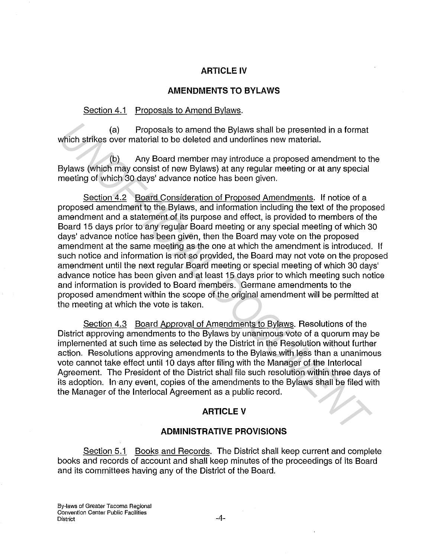## **ARTICLE IV**

#### **AMENDMENTS TO BYLAWS**

## Section 4.1 Proposals to Amend Bylaws.

(a) Proposals to amend the Bylaws shall be presented in a format which strikes over material to be deleted and underlines new material.

(b) Any Board member may introduce a proposed amendment to the Bylaws (which may consist of new Bylaws) at any regular meeting or at any special meeting of which 30 days' advance notice has been given.

Section 4.2 Board Consideration of Proposed Amendments. If notice of a proposed amendment to the Bylaws, and information including the text of the proposed amendment and a statement of its purpose and effect, is provided to members of the Board 15 days prior to any regular Board meeting or any special meeting of which 30 days' advance notice has been given, then the Board may vote on the proposed amendment at the same meeting as the one at which the amendment is introduced. If such notice and information is not so provided, the Board may not vote on the proposed amendment until the next regular Board meeting or special meeting of which 30 days' advance notice has been given and at least 15 days prior to which meeting such notice and information is provided to Board members. Germane amendments to the proposed amendment within the scope of the original amendment will be permitted at the meeting at which the vote is taken. (a) Proposals to amend the Bylaws shall be presented in a format<br>
Which strikes over material to be deleted and underlines new material.<br>
Eylaws (which may consist of new Bylaws) at any requiar meeting or at any special<br>
E

Section 4.3 Board Approval of Amendments to Bylaws. Resolutions of the District approving amendments to the Bylaws by unanimous vote of a quorum may be implemented at such time as selected by the District in the Resolution without further action. Resolutions approving amendments to the Bylaws with less than a unanimous vote cannot take effect until 10 days after filing with the Manager of the Interlocal Agreement. The President of the District shall file such resolution within three days of its adoption. In any event, copies of the amendments to the Bylaws shall be filed with the Manager of the lnterlocal Agreement as a public record.

## **ARTICLE V**

#### **ADMINISTRATIVE PROVISIONS**

Section 5.1 Books and Records. The District shall keep current and complete books and records of account and shall keep minutes of the proceedings of its Board and its committees having any of the District of the Board.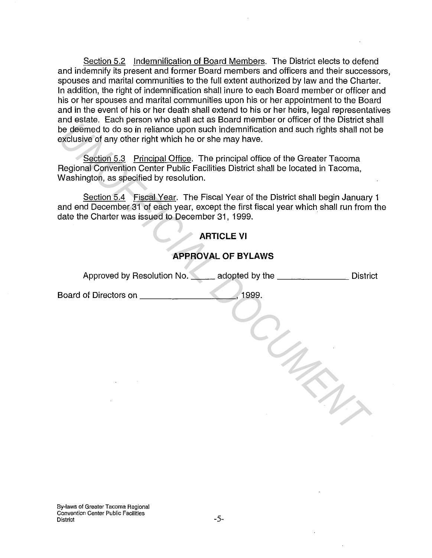Section 5.2 Indemnification of Board Members. The District elects to defend and indemnify its present and former Board members and officers and their successors, spouses and marital communities to the full extent authorized by law and the Charter. In addition, the right of indemnification shall inure to each Board member or officer and his or her spouses and marital communities upon his or her appointment to the Board and in the event of his or her death shall extend to his or her heirs, legal representatives and estate. Each person who shall act as Board member or officer of the District shall be deemed to do so in reliance upon such indemnification and such rights shall not be exclusive of any other right which he or she may have.

# **ARTICLE VI**

# **APPROVAL OF BYLAWS**

| and colate. Each poloch who shall dot as Doard momber of omoor of the District Shall<br>be deemed to do so in reliance upon such indemnification and such rights shall not be<br>exclusive of any other right which he or she may have. |                                                                                |  |
|-----------------------------------------------------------------------------------------------------------------------------------------------------------------------------------------------------------------------------------------|--------------------------------------------------------------------------------|--|
| Regional Convention Center Public Facilities District shall be located in Tacoma,<br>Washington, as specified by resolution.                                                                                                            | Section 5.3 Principal Office. The principal office of the Greater Tacoma       |  |
| and end December 31 of each year, except the first fiscal year which shall run from th<br>date the Charter was issued to December 31, 1999.                                                                                             | Section 5.4 Fiscal Year. The Fiscal Year of the District shall begin January 1 |  |
|                                                                                                                                                                                                                                         | <b>ARTICLE VI</b>                                                              |  |
|                                                                                                                                                                                                                                         | <b>APPROVAL OF BYLAWS</b>                                                      |  |
| Approved by Resolution No. adopted by the ______________                                                                                                                                                                                | <b>District</b>                                                                |  |
| Board of Directors on ________________                                                                                                                                                                                                  | 1999.                                                                          |  |
|                                                                                                                                                                                                                                         |                                                                                |  |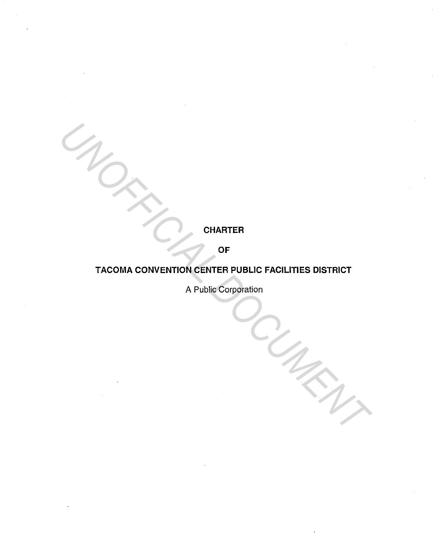**CHARTER** 

OF

# TACOMA CONVENTION CENTER PUBLIC FACILITIES DISTRICT **CHARTER**<br>TACOMA CONVENTION CENTER PUBLIC FACILITIES DISTRICT<br>A Public Corporation

A Public Corporation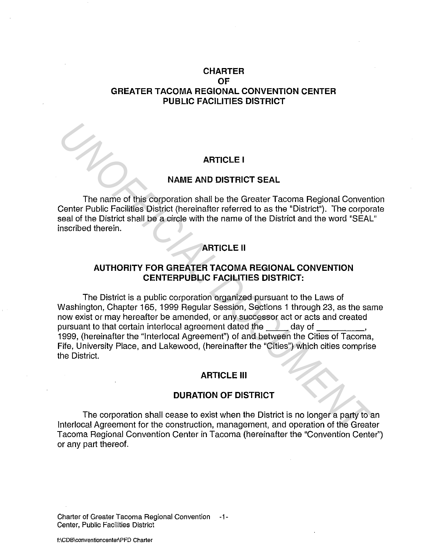# **CHARTER OF GREATER TACOMA REGIONAL CONVENTION CENTER PUBLIC FACILITIES DISTRICT**

#### **ARTICLE I**

#### **NAME AND DISTRICT SEAL**

The name of this corporation shall be the Greater Tacoma Regional Convention Center Public Facilities District (hereinafter referred to as the "District"). The corporate seal of the District shall be a circle with the name of the District and the word "SEAL" inscribed therein.

# **ARTICLE II**

# **AUTHORITY FOR GREATER TACOMA REGIONAL CONVENTION CENTERPUBLIC FACILITIES DISTRICT:**

The District is a public corporation organized pursuant to the Laws of Washington, Chapter 165, 1999 Regular Session, Sections 1 through 23, as the same now exist or may hereafter be amended, or any successor act or acts and created pursuant to that certain interlocal agreement dated the  $\qquad \qquad$  day of 1999, (hereinafter the "lnterlocal Agreement") of and between the Cities of Tacoma, Fife, University Place, and Lakewood, (hereinafter the "Cities") which cities comprise the District. **EXERCT:**<br> **EXERCT:**<br> **EXERCT:**<br> **EXERCT:**<br> **EXERCT:**<br> **EXERCT:**<br> **EXERCT:**<br> **EXERCT:**<br> **EXERCT:**<br> **EXERCT:**<br> **EXERCT:**<br> **EXERCT:**<br> **EXERCT:**<br> **EXERCT:**<br> **EXERCT:**<br> **EXERCT:**<br> **EXERCT:**<br> **EXERCT:**<br> **EXERCT:**<br> **EXERCT:**<br> **E** 

#### **ARTICLE Ill**

#### **DURATION OF DISTRICT**

The corporation shall cease to exist when the District is no longer a party to an lnterlocal Agreement for the construction, management, and operation of the Greater Tacoma Regional Convention Center in Tacoma (hereinafter the "Convention Center'') or any part thereof.

Charter of Greater Tacoma Regional Convention -1- Center, Public Facilities District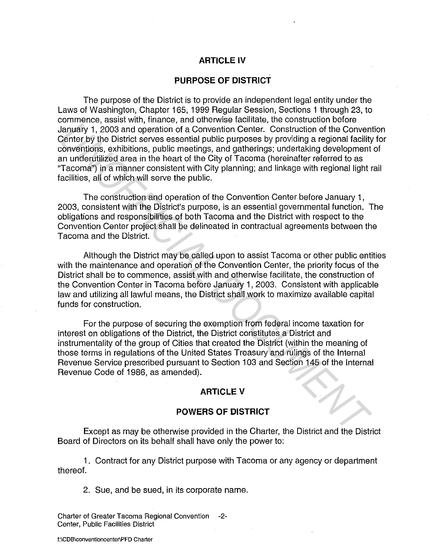#### **ARTICLE** IV

#### **PURPOSE OF DISTRICT**

The purpose of the District is to provide an independent legal entity under the Laws of Washington, Chapter 165, 1999 Regular Session, Sections 1 through 23, to commence, assist with, finance, and otherwise facilitate, the construction before January 1, 2003 and operation of a Convention Center. Construction of the Convention Center by the District serves essential public purposes by providing a regional facility for conventions, exhibitions, public meetings, and gatherings; undertaking development of an underutilized area in the heart of the City of Tacoma (hereinafter referred to as "Tacoma") in a manner consistent with City planning; and linkage with regional light rail facilities, all of which will serve the public. Conterption of a Convention Center, the Columeter, and Convention Center (and Convention Center. Construction of the Convention Convention Center. Construction of the Convention Convention Center the Ven District serves es

The construction and operation of the Convention Center before January 1, 2003, consistent with the District's purpose, is an essential governmental function. The obligations and responsibilities of both Tacoma and the District with respect to the Convention Center project shall be delineated in contractual agreements between the Tacoma and the District.

Although the District may be called upon to assist Tacoma or other public entities with the maintenance and operation of the Convention Center, the priority focus of the District shall be to commence, assist with and otherwise facilitate, the construction of the Convention Center in Tacoma before January 1, 2003. Consistent with applicable law and utilizing all lawful means, the District shall work to maximize available capital funds for construction.

For the purpose of securing the exemption from federal income taxation for interest on obligations of the District, the District constitutes a District and instrumentality of the group of Cities that created the District (within the meaning of those terms in regulations of the United States Treasury and rulings of the Internal Revenue Service prescribed pursuant to Section 103 and Section 145 of the Internal Revenue Code of 1986, as amended).

#### **ARTICLE V**

## **POWERS OF DISTRICT**

Except as may be otherwise provided in the Charter, the District and the District Board of Directors on its behalf shall have only the power to:

1. Contract for any District purpose with Tacoma or any agency or department thereof.

2. Sue, and be sued, in its corporate name.

Charter of Greater Tacoma Regional Convention -2- Center, Public Facilities District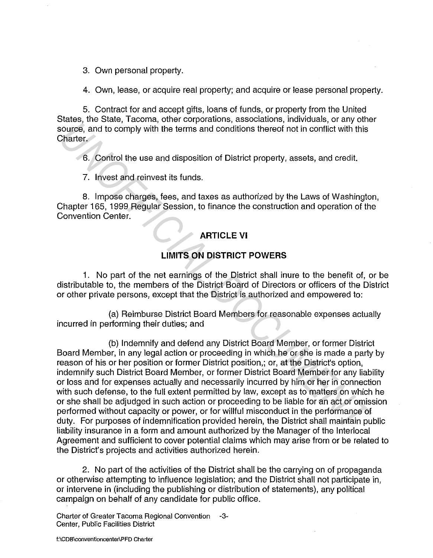3. Own personal property.

4. Own, lease, or acquire real property; and acquire or lease personal property.

5. Contract for and accept gifts, loans of funds, or property from the United States, the State, Tacoma, other corporations, associations, individuals, or any other source, and to comply with the terms and conditions thereof not in conflict with this Charter.

6. Control the use and disposition of District property, assets, and credit.

7. Invest and reinvest its funds.

8. Impose charges, fees, and taxes as authorized by the Laws of Washington, Chapter 165, 1999 Regular Session, to finance the construction and operation of the Convention Center.

# **ARTICLE VI**

# **LIMITS ON DISTRICT POWERS**

1. No part of the net earnings of the District shall inure to the benefit of, or be distributable to, the members of the District Board of Directors or officers of the District or other private persons, except that the District is authorized and empowered to:

(a) Reimburse District Board Members for reasonable expenses actually incurred in performing their duties; and

(b) Indemnify and defend any District Board Member, or former District Board Member, in any legal action or proceeding in which he or she is made a party by reason of his or her position or former District position,; or, at the District's option, indemnify such District Board Member, or former District Board Member for any liability or loss and for expenses actually and necessarily incurred by him or her in connection with such defense, to the full extent permitted by law, except as to matters on which he or she shall be adjudged in such action or proceeding to be liable for an act or omission performed without capacity or power, or for willful misconduct in the performance of duty. For purposes of indemnification provided herein, the District shall maintain public liability insurance in a form and amount authorized by the Manager of the lnterlocal Agreement and sufficient to cover potential claims which may arise from or be related to the District's projects and activities authorized herein. **Example 1.1** No part of the subsequence of the subsequence of the completed matrix of the scheme of the terms and conditions hereof not in conflict with this Chater.<br> **E.** Control the use and disposition of District prope

2. No part of the activities of the District shall be the carrying on of propaganda or otherwise attempting to influence legislation; and the District shall not participate in, or intervene in (including the publishing or distribution of statements), any political campaign on behalf of any candidate for public office.

Charter of Greater Tacoma Regional Convention -3- Center, Public Facilities District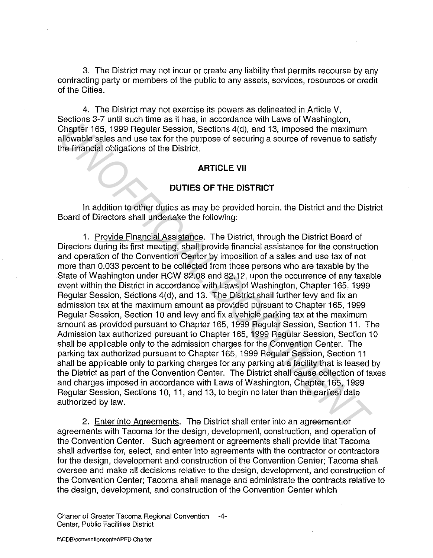3. The District may not incur or create any liability that permits recourse by ariy contracting party or members of the public to any assets, services, resources or credit of the Cities.

4. The District may not exercise its powers as delineated in Article V, Sections 3-7 until such time as it has, in accordance with Laws of Washington, Chapter 165, 1999 Regular Session, Sections 4(d), and 13, imposed the maximum allowable sales and use tax for the purpose of securing a source of revenue to satisfy the financial obligations of the District.

## **ARTICLE** VII

## **DUTIES OF THE DISTRICT**

In addition to other duties as may be provided herein, the District and the District Board of Directors shall undertake the following:

1. Provide Financial Assistance. The District, through the District Board of Directors during its first meeting, shall provide financial assistance for the construction and operation of the Convention Center by imposition of a sales and use tax of not more than 0.033 percent to be collected from those persons who are taxable by the State of Washington under RCW 82.08 and 82.12, upon the occurrence of any taxable event within the District in accordance with Laws of Washington, Chapter 165, 1999 Regular Session, Sections 4(d), and 13. The District shall further levy and fix an admission tax at the maximum amount as provided pursuant to Chapter 165, 1999 Regular Session, Section 10 and levy and fix a vehicle parking tax at the maximum amount as provided pursuant to Chapter 165, 1999 Regular Session, Section 11. The Admission tax authorized pursuant to Chapter 165, 1999 Regular Session, Section 1 O shall be applicable only to the admission charges for the Convention Center. The parking tax authorized pursuant to Chapter 165, 1999 Regular Session, Section 11 shall be applicable only to parking charges for any parking at a facility that is leased by the District as part of the Convention Center. The District shall cause collection of taxes and charges imposed in accordance with Laws of Washington, Chapter 165, 1999 Regular Session, Sections 10, 11, and 13, to begin no later than the earliest date authorized by law. Chance Total Contribute of the United Mathematic Chance in the United Scheme and the particle the miximum allowable sales and use tax for the purpose of securing a source of revenue to satisf<br>
The firancial obligations of

2. Enter into Agreements. The District shall enter into an agreement or agreements with Tacoma for the design, development, construction, and operation of the Convention Center. Such agreement or agreements shall provide that Tacoma shall advertise for, select, and enter into agreements with the contractor or contractors for the design, development and construction of the Convention Center; Tacoma shall oversee and make all decisions relative to the design, development, and construction of the Convention Center; Tacoma shall manage and administrate the contracts relative to the design, development, and construction of the Convention Center which

Charter of Greater Tacoma Regional Convention -4- Center, Public Facilities District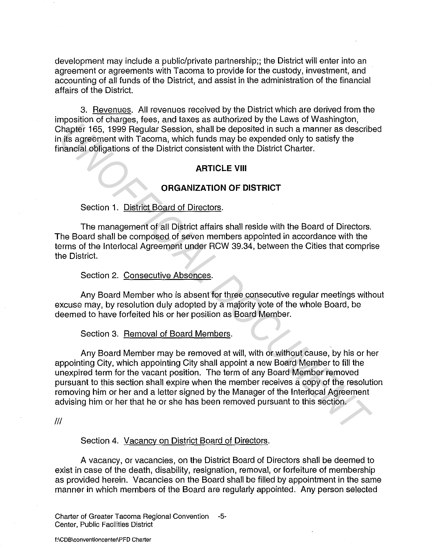development may include a public/private partnership;; the District will enter into an agreement or agreements with Tacoma to provide for the custody, investment, and accounting of all funds of the District, and assist in the administration of the financial affairs of the District.

3. Revenues. All revenues received by the District which are derived from the imposition of charges, fees, and taxes as authorized by the Laws of Washington, Chapter 165, 1999 Regular Session, shall be deposited in such a manner as described in its agreement with Tacoma, which funds may be expended only to satisfy the financial obligations of the District consistent with the District Charter.

## **ARTICLE VIII**

## **ORGANIZATION OF DISTRICT**

#### Section 1. District Board of Directors.

The management of all District affairs shall reside with the Board of Directors. The Board shall be composed of seven members appointed in accordance with the terms of the lnterlocal Agreement under RCW 39.34, between the Cities that comprise the District.

Section 2. Consecutive Absences.

Any Board Member who is absent for three consecutive regular meetings without excuse may, by resolution duly adopted by a majority vote of the whole Board, be deemed to have forfeited his or her position as Board Member.

Section 3. Removal of Board Members.

Any Board Member may be removed at will, with or without cause, by his or her appointing City, which appointing City shall appoint a new Board Member to fill the unexpired term for the vacant position. The term of any Board Member removed pursuant to this section shall expire when the member receives a copy of the resolution removing him or her and a letter signed by the Manager of the lnterlocal Agreement advising him or her that he or she has been removed pursuant to this section. **Experience The May be the Constant Constant Constant Constant Constant Constant Constant In the District Charter.**<br> **UNOFFICIAL DEATER CONSTRUCT**<br> **UNOFFICIAL DEATER CONSTRUCT**<br> **UNOFFICIAL DEATER CONSTRUCT**<br> **UNOFFICIAL** 

Ill

Section 4. Vacancy on District Board of Directors.

A vacancy, or vacancies, on the District Board of Directors shall be deemed to exist in case of the death, disability, resignation, removal, or forfeiture of membership as provided herein. Vacancies on the Board shall be filled by appointment in the same manner in which members of the Board are regularly appointed. Any person selected

Charter of Greater Tacoma Regional Convention -5- Center, Public Facilities District

**f:\CDB\conventioncenter\PFD Charter**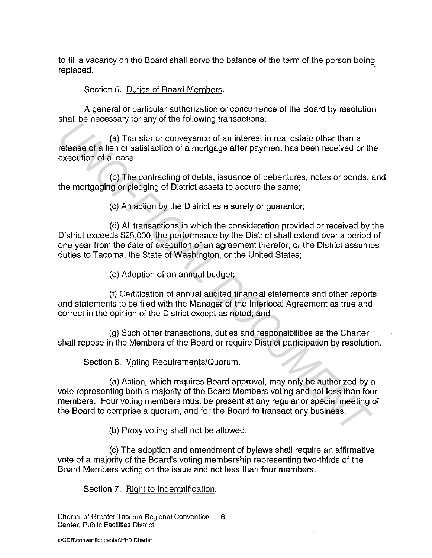to fill a vacancy on the Board shall serve the balance of the term of the person being replaced.

## Section 5. Duties of Board Members.

A general or particular authorization or concurrence of the Board by resolution shall be necessary for any of the following transactions:

(a) Transfer or conveyance of an interest in real estate other than a release of a lien or satisfaction of a mortgage after payment has been received or the execution of a lease;

(b) The contracting of debts, issuance of debentures, notes or bonds, and the mortgaging or pledging of District assets to secure the same;

(c) An action by the District as a surety or guarantor;

(d) All transactions in which the consideration provided or received by the District exceeds \$25,000, the performance by the District shall extend over a period of one year from the date of execution of an agreement therefor, or the District assumes duties to Tacoma, the State of Washington, or the United States;

(e) Adoption of an annual budget;

(f) Certification of annual audited financial statements and other reports and statements to be filed with the Manager of the lnterlocal Agreement as true and correct in the opinion of the District except as noted; and

(g) Such other transactions, duties and responsibilities as the Charter shall repose in the Members of the Board or require District participation by resolution.

Section 6. Voting Requirements/Quorum.

(a) Action, which requires Board approval, may only be authorized by a vote representing both a majority of the Board Members voting and not less than four members. Four voting members must be present at any regular or special meeting of the Board to comprise a quorum, and for the Board to transact any business. **UNDEREGANT THE CONSTRANT CONSTRANT CONSTRANT CONSTRANT CONSTRANT CONSTRANT CONSTRANT CONSTRANT CONSTRANT CONSTRANT CONSTRANT CONSTRANT CONSTRANT CONSTRANT CONSTRANT CONSTRANT CONSTRANT CONSTRANT CONSTRANT CONSTRANT CONSTR** 

(b) Proxy voting shall not be allowed.

(c) The adoption and amendment of bylaws shall require an affirmative vote of a majority of the Board's voting membership representing two-thirds of the Board Members voting on the issue and not less than four members.

Section 7. Right to Indemnification.

Charter of Greater Tacoma Regional Convention -6- Center, Public Facilities District

**f:\CDB\conventioncenter\PFD Charter**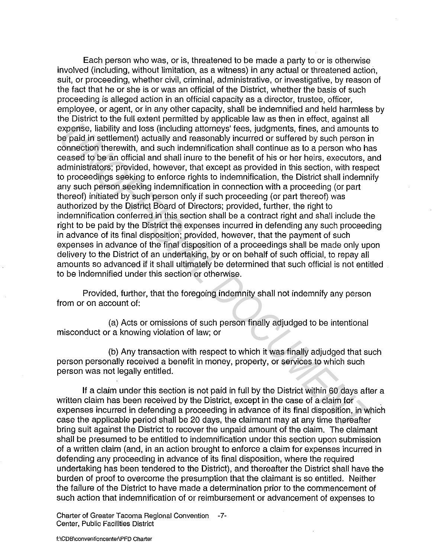Each person who was, or is, threatened to be made a party to or is otherwise involved (including, without limitation, as a witness) in any actual or threatened action, suit, or proceeding, whether civil, criminal, administrative, or investigative, by reason of the fact that he or she is or was an official of the District, whether the basis of such proceeding is alleged action in an official capacity as a director, trustee, officer, employee, or agent, or in any other capacity, shall be indemnified and held harmless by the District to the full extent permitted by applicable law as then in effect, against all expense, liability and loss (including attorneys' fees, judgments, fines, and amounts to be paid in settlement) actually and reasonably incurred or suffered by such person in connection therewith, and such indemnification shall continue as to a person who has ceased to be an official and shall inure to the benefit of his or her heirs, executors, and administrators; provided, however, that except as provided in this section, with respect to proceedings seeking to enforce rights to indemnification, the District shall indemnify any such person seeking indemnification in connection with a proceeding (or part thereof) initiated by such person only if such proceeding (or part thereof) was authorized by the District Board of Directors; provided, further, the right to indemnification conferred in this section shall be a contract right and shall include the right to be paid by the District the expenses incurred in defending any such proceeding in advance of its final disposition; provided, however, that the payment of such expenses in advance of the final disposition of a proceedings shall be made only upon delivery to the District of an undertaking, by or on behalf of such official, to repay all amounts so advanced if it shall ultimately be determined that such official is not entitled to be indemnified under this section or otherwise. **Experise, liability** and loss (including attomess) experise, interest and a mode in settlement) actually and described by such person in section therewith, and such intered in settlement of such person in connection there

Provided, further, that the foregoing indemnity shall not indemnify any person from or on account of:

(a) Acts or omissions of such person finally adjudged to be intentional misconduct or a knowing violation of law; or

(b) Any transaction with respect to which it was finally adjudged that such person personally received a benefit in money, property, or services to which such person was not legally entitled.

If a claim under this section is not paid in full by the District within 60 days after a written claim has been received by the District, except in the case of a claim for expenses incurred in defending a proceeding in advance of its final disposition, in which case the applicable period shall be 20 days, the claimant may at any time thereafter bring suit against the District to recover the unpaid amount of the claim. The claimant shall be presumed to be entitled to indemnification under this section upon submission of a written claim (and, in an action brought to enforce a claim for expenses incurred in defending any proceeding in advance of its final disposition, where the required undertaking has been tendered to the District), and thereafter the District shall have the burden of proof to overcome the presumption that the claimant is so entitled. Neither the failure of the District to have made a determination prior to the commencement of such action that indemnification of or reimbursement or advancement of expenses to

Charter of Greater Tacoma Regional Convention -7- Center, Public Facilities District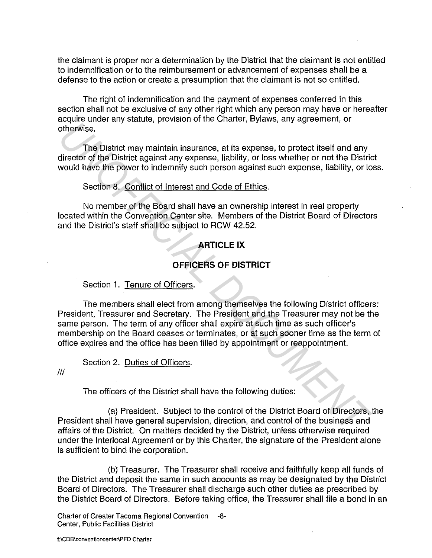the claimant is proper nor a determination by the District that the claimant is not entitled to indemnification or to the reimbursement or advancement of expenses shall be a defense to the action or create a presumption that the claimant is not so entitled.

The right of indemnification and the payment of expenses conferred in this section shall not be exclusive of any other right which any person may have or hereafter acquire under any statute, provision of the Charter, Bylaws, any agreement, or otherwise.

The District may maintain insurance, at its expense, to protect itself and any director of the District against any expense, liability, or loss whether or not the District would have the power to indemnify such person against such expense, liability, or loss.

#### Section 8. Conflict of Interest and Code of Ethics.

No member of the Board shall have an ownership interest in real property located within the Convention Center site. Members of the District Board of Directors and the District's staff shall be subject to RCW 42.52.

# **ARTICLE IX**

# **OFFICERS OF DISTRICT**

## Section 1. Tenure of Officers.

The members shall elect from among themselves the following District officers: President, Treasurer and Secretary. The President and the Treasurer may not be the same person. The term of any officer shall expire at such time as such officer's membership on the Board ceases or terminates, or at such sooner time as the term of office expires and the office has been filled by appointment or reappointment. **CONSTRANT CONSTRANT CONSTRANT CONSTRANT CONSTRANT CONSTRANT CONSTRANT CONSTRANT CONSTRANT (IT AND CONSTRANT)** (IT A DESPRET (IT AND CONSTRANT) (IT AND CONSTRANT) (IT AND CONSTRANT OF THE DISTRICT ONCE INTO SEVERE THE CONS

Section 2. Duties of Officers.

Ill

The officers of the District shall have the following duties:

(a) President. Subject to the control of the District Board of Directors, the President shall have general supervision, direction, and control of the business and affairs of the District. On matters decided by the District, unless otherwise required under the lnterlocal Agreement or by this Charter, the signature of the President alone is sufficient to bind the corporation.

(b) Treasurer. The Treasurer shall receive and faithfully keep all funds of the District and deposit the same in such accounts as may be designated by the District Board of Directors. The Treasurer shall discharge such other duties as prescribed by the District Board of Directors. Before taking office, the Treasurer shall file a bond in an

Charter of Greater Tacoma Regional Convention -8- Center, Public Facilities District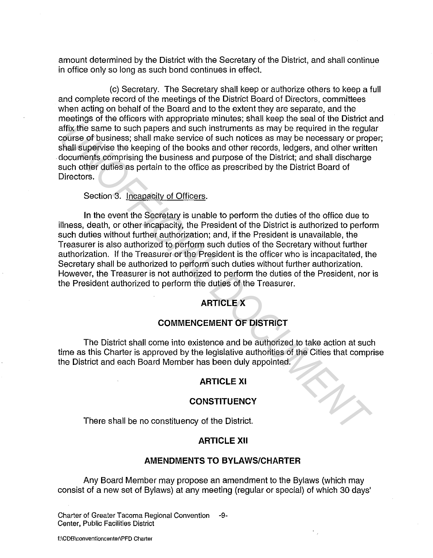amount determined by the District with the Secretary of the District, and shall continue in office only so long as such bond continues in effect.

(c) Secretary. The Secretary shall keep or authorize others to keep a full and complete record of the meetings of the District Board of Directors, committees when acting on behalf of the Board and to the extent they are separate, and the meetings of the officers with appropriate minutes; shall keep the seal of the District and affix the same to such papers and such instruments as may be required in the regular course of business; shall make service of such notices as may be necessary or proper; shall supervise the keeping of the books and other records, ledgers, and other written documents comprising the business and purpose of the District; and shall discharge such other duties as pertain to the office as prescribed by the District Board of Directors.

## Section 3. Incapacity of Officers.

In the event the Secretary is unable to perform the duties of the office due to illness, death, or other incapacity, the President of the District is authorized to perform such duties without further authorization; and, if the President is unavailable, the Treasurer is also authorized to perform such duties of the Secretary without further authorization. If the Treasurer or the President is the officer who is incapacitated, the Secretary shall be authorized to perform such duties without further authorization. However, the Treasurer is not authorized to perform the duties of the President, nor is the President authorized to perform the duties of the Treasurer. Matrix the same to such papers and such instruments as may be required in the regulating this assess; shall make sevide of such indications as may be required in the regulation shall supervise the keeping of the books and

# **ARTICLEX**

# **COMMENCEMENT OF DISTRICT**

The District shall come into existence and be authorized to take action at such time as this Charter is approved by the legislative authorities of the Cities that comprise the District and each Board Member has been duly appointed.

## **ARTICLE XI**

#### **CONSTITUENCY**

There shall be no constituency of the District.

#### **ARTICLE XII**

#### **AMENDMENTS TO BYLAWS/CHARTER**

Any Board Member may propose an amendment to the Bylaws (which may consist of a new set of Bylaws) at any meeting (regular or special) of which 30 days'

Charter of Greater Tacoma Regional Convention -9- Center, Public Facilities District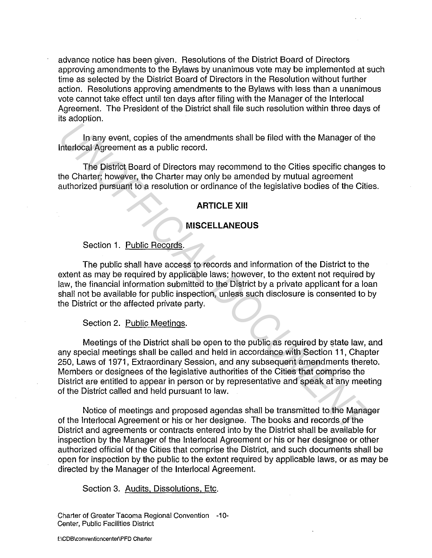advance notice has been given. Resolutions of the District Board of Directors approving amendments to the Bylaws by unanimous vote may be implemented at such time as selected by the District Board of Directors in the Resolution without further action. Resolutions approving amendments to the Bylaws with less than a unanimous vote cannot take effect until ten days after filing with the Manager of the lnterlocal Agreement. The President of the District shall file such resolution within three days of its adoption.

In any event, copies of the amendments shall be filed with the Manager of the lnterlocal Agreement as a public record.

The District Board of Directors may recommend to the Cities specific changes to the Charter; however, the Charter may only be amended by mutual agreement authorized pursuant to a resolution or ordinance of the legislative bodies of the Cities.

## **ARTICLE XIII**

## **MISCELLANEOUS**

#### Section 1. Public Records.

The public shall have access to records and information of the District to the extent as may be required by applicable laws; however, to the extent not required by law, the financial information submitted to the District by a private applicant for a loan shall not be available for public inspection, unless such disclosure is consented to by the District or the affected private party,

Section 2. Public Meetings.

Meetings of the District shall be open to the public as required by state law, and any special meetings shall be called and held in accordance with Section 11, Chapter 250, Laws of 1971, Extraordinary Session, and any subsequent amendments thereto. Members or designees of the legislative authorities of the Cities that comprise the District are entitled to appear in person or by representative and speak at any meeting of the District called and held pursuant to law. **Uniterate**<br>
In any event, copies of the amendments shall be filed with the Manager of the<br>
Interiorsal Agreement as a public record.<br>
The District Board of Directors may recommend to the Clities specific change<br>
the Chart

Notice of meetings and proposed agendas shall be transmitted to the Manager of the lnterlocal Agreement or his or her designee. The books and records of the District and agreements or contracts entered into by the District shall be available for inspection by the Manager of the lnterlocal Agreement or his or her designee or other authorized official of the Cities that comprise the District, and such documents shall be open for inspection by the public to the extent required by applicable laws, or as may be directed by the Manager of the lnterlocal Agreement.

Section 3. Audits, Dissolutions, Etc.

Charter of Greater Tacoma Regional Convention -10- Center, Public Facilities District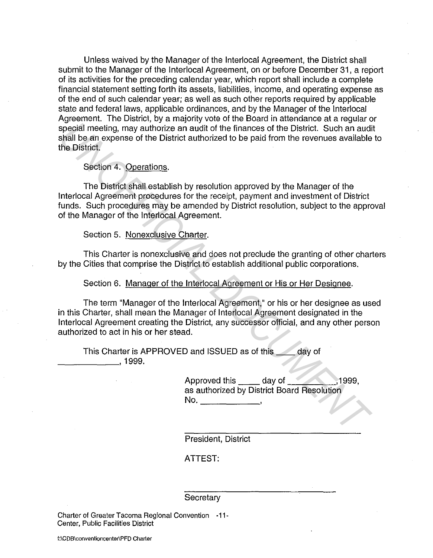Unless waived by the Manager of the lnterlocal Agreement, the District shall submit to the Manager of the lnterlocal Agreement, on or before December 31, a report of its activities for the preceding calendar year, which report shall include a complete financial statement setting forth its assets, liabilities, income, and operating expense as of the end of such calendar year; as well as such other reports required by applicable state and federal laws, applicable ordinances, and by the Manager of the lnterlocal Agreement. The District, by a majority vote of the Board in attendance at a regular or special meeting, may authorize an audit of the finances of the District. Such an audit shall be an expense of the District authorized to be paid from the revenues available to the District.

Section 4. Operations.

The District shall establish by resolution approved by the Manager of the lnterlocal Agreement procedures for the receipt, payment and investment of District funds. Such procedures may be amended by District resolution, subject to the approval of the Manager of the lnterlocal Agreement.

Section 5. Nonexclusive Charter.

This Charter is nonexclusive and does not preclude the granting of other charters by the Cities that comprise the District to establish additional public corporations.

Section 6. Manager of the lnterlocal Agreement or His or Her Designee.

The term "Manager of the lnterlocal Agreement," or his or her designee as used in this Charter, shall mean the Manager of lnterlocal Agreement designated in the lnterlocal Agreement creating the District, any successor official, and any other person authorized to act in his or her stead. Frocid meeting, may authorize an audit of the finances of the District. Such an audit the Bishall be an expense of the District and notice the District. Such an audit the District substant the District substant the Distric

This Charter is APPROVED and ISSUED as of this <u>see</u>day of \_\_\_\_\_\_ , 1999.

> Approved this \_\_\_\_\_ day of , 1999, as authorized by District Board Resolution  $\mathsf{No.}$

President, District

ATTEST:

**Secretary** 

Charter of Greater Tacoma Regional Convention -11- Center, Public Facilities District